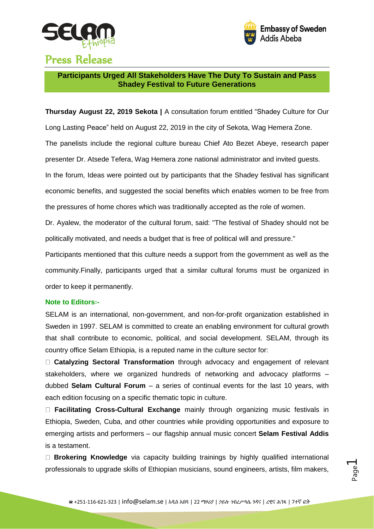



## Press Release

**Participants Urged All Stakeholders Have The Duty To Sustain and Pass Shadey Festival to Future Generations**

**Thursday August 22, 2019 Sekota |** A consultation forum entitled "Shadey Culture for Our Long Lasting Peace" held on August 22, 2019 in the city of Sekota, Wag Hemera Zone. The panelists include the regional culture bureau Chief Ato Bezet Abeye, research paper presenter Dr. Atsede Tefera, Wag Hemera zone national administrator and invited guests. In the forum, Ideas were pointed out by participants that the Shadey festival has significant economic benefits, and suggested the social benefits which enables women to be free from the pressures of home chores which was traditionally accepted as the role of women.

Dr. Ayalew, the moderator of the cultural forum, said: "The festival of Shadey should not be politically motivated, and needs a budget that is free of political will and pressure."

Participants mentioned that this culture needs a support from the government as well as the community.Finally, participants urged that a similar cultural forums must be organized in order to keep it permanently.

## **Note to Editors**፡**-**

SELAM is an international, non-government, and non-for-profit organization established in Sweden in 1997. SELAM is committed to create an enabling environment for cultural growth that shall contribute to economic, political, and social development. SELAM, through its country office Selam Ethiopia, is a reputed name in the culture sector for:

**Catalyzing Sectoral Transformation** through advocacy and engagement of relevant stakeholders, where we organized hundreds of networking and advocacy platforms – dubbed **Selam Cultural Forum** – a series of continual events for the last 10 years, with each edition focusing on a specific thematic topic in culture.

**Facilitating Cross-Cultural Exchange** mainly through organizing music festivals in Ethiopia, Sweden, Cuba, and other countries while providing opportunities and exposure to emerging artists and performers – our flagship annual music concert **Selam Festival Addis** is a testament.

**Brokering Knowledge** via capacity building trainings by highly qualified international professionals to upgrade skills of Ethiopian musicians, sound engineers, artists, film makers,

Page  $\overline{\phantom{0}}$